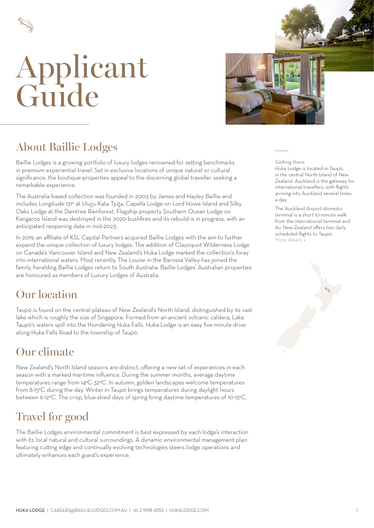



#### About Baillie Lodges

Baillie Lodges is a growing portfolio of luxury lodges renowned for setting benchmarks in premium experiential travel. Set in exclusive locations of unique natural or cultural significance, the boutique properties appeal to the discerning global traveller seeking a remarkable experience.

The Australia-based collection was founded in 2003 by James and Hayley Baillie and includes Longitude 131° at Uluru-Kata Tjuta, Capella Lodge on Lord Howe Island and Silky Oaks Lodge at the Daintree Rainforest. Flagship property Southern Ocean Lodge on Kangaroo Island was destroyed in the 2020 bushfires and its rebuild is in progress, with an anticipated reopening date in mid-2023.

In 2019, an affiliate of KSL Capital Partners acquired Baillie Lodges with the aim to further expand the unique collection of luxury lodges. The addition of Clayoquot Wilderness Lodge on Canada's Vancouver Island and New Zealand's Huka Lodge marked the collection's foray into international waters. Most recently, The Louise in the Barossa Valley has joined the family, heralding Baillie Lodges return to South Australia. Baillie Lodges' Australian properties are honoured as members of Luxury Lodges of Australia.

#### Our location

Taupō is found on the central plateau of New Zealand's North Island, distinguished by its vast lake which is roughly the size of Singapore. Formed from an ancient volcanic caldera, Lake Taupō's waters spill into the thundering Huka Falls. Huka Lodge is an easy five minute drive along Huka Falls Road to the township of Taupō.

#### Our climate

New Zealand's North Island seasons are distinct, offering a new set of experiences in each season with a marked maritime influence. During the summer months, average daytime temperatures range from 14°C-32°C. In autumn, golden landscapes welcome temperatures from 8-15°C during the day. Winter in Taupō brings temperatures during daylight hours between 6-12°C. The crisp, blue-skied days of spring bring daytime temperatures of 10-15°C.

### Travel for good

The Baillie Lodges environmental commitment is best expressed by each lodge's interaction with its local natural and cultural surroundings. A dynamic environmental management plan featuring cutting edge and continually evolving technologies steers lodge operations and ultimately enhances each guest's experience.

#### Getting there

Huka Lodge is located in Taupō, in the central North Island of New Zealand. Auckland is the gateway for international travellers, with flights arriving into Auckland several times a day.

The Auckland Airport domestic terminal is a short 10-minute walk from the international terminal and Air New Zealand offers two daily scheduled flights to Taupō. [More details »](#page-4-0)

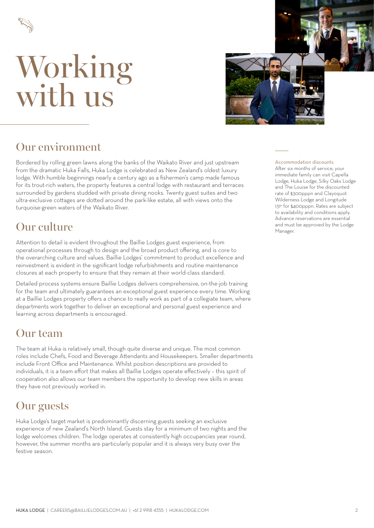



#### Our environment

Bordered by rolling green lawns along the banks of the Waikato River and just upstream from the dramatic Huka Falls, Huka Lodge is celebrated as New Zealand's oldest luxury lodge. With humble beginnings nearly a century ago as a fishermen's camp made famous for its trout-rich waters, the property features a central lodge with restaurant and terraces surrounded by gardens studded with private dining nooks. Twenty guest suites and two ultra-exclusive cottages are dotted around the park-like estate, all with views onto the turquoise-green waters of the Waikato River.

Attention to detail is evident throughout the Baillie Lodges guest experience, from operational processes through to design and the broad product offering, and is core to the overarching culture and values. Baillie Lodges' commitment to product excellence and reinvestment is evident in the significant lodge refurbishments and routine maintenance closures at each property to ensure that they remain at their world-class standard.

Detailed process systems ensure Baillie Lodges delivers comprehensive, on-the-job training for the team and ultimately guarantees an exceptional guest experience every time. Working at a Baillie Lodges property offers a chance to really work as part of a collegiate team, where departments work together to deliver an exceptional and personal guest experience and learning across departments is encouraged.

#### Our team

The team at Huka is relatively small, though quite diverse and unique. The most common roles include Chefs, Food and Beverage Attendants and Housekeepers. Smaller departments include Front Office and Maintenance. Whilst position descriptions are provided to individuals, it is a team effort that makes all Baillie Lodges operate effectively – this spirit of cooperation also allows our team members the opportunity to develop new skills in areas they have not previously worked in.

#### Our guests

Huka Lodge's target market is predominantly discerning guests seeking an exclusive experience of new Zealand's North Island. Guests stay for a minimum of two nights and the lodge welcomes children. The lodge operates at consistently high occupancies year round, however, the summer months are particularly popular and it is always very busy over the festive season.

Accommodation discounts

After six months of service, your immediate family can visit Capella Lodge, Huka Lodge, Silky Oaks Lodge and The Louise for the discounted rate of \$300pppn and Clayoquot Wilderness Lodge and Longitude 131° for \$400pppn. Rates are subject to availability and conditions apply. Advance reservations are essential **Our culture** and must be approved by the Lodge and must be approved by the Lodge Manager.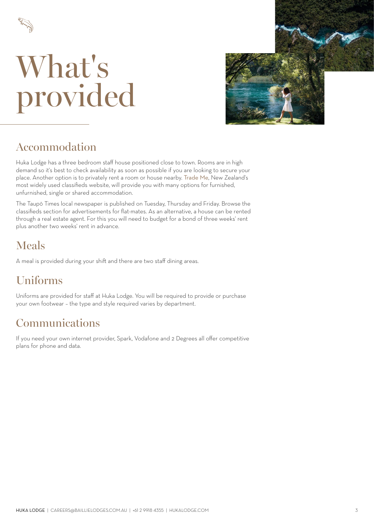

## What's provided



#### Accommodation

Huka Lodge has a three bedroom staff house positioned close to town. Rooms are in high demand so it's best to check availability as soon as possible if you are looking to secure your place. Another option is to privately rent a room or house nearby. [Trade Me](https://www.trademe.co.nz/), New Zealand's most widely used classifieds website, will provide you with many options for furnished, unfurnished, single or shared accommodation.

The Taupō Times local newspaper is published on Tuesday, Thursday and Friday. Browse the classifieds section for advertisements for flat-mates. As an alternative, a house can be rented through a real estate agent. For this you will need to budget for a bond of three weeks' rent plus another two weeks' rent in advance.

### Meals

A meal is provided during your shift and there are two staff dining areas.

## Uniforms

Uniforms are provided for staff at Huka Lodge. You will be required to provide or purchase your own footwear – the type and style required varies by department.

#### Communications

If you need your own internet provider, Spark, Vodafone and 2 Degrees all offer competitive plans for phone and data.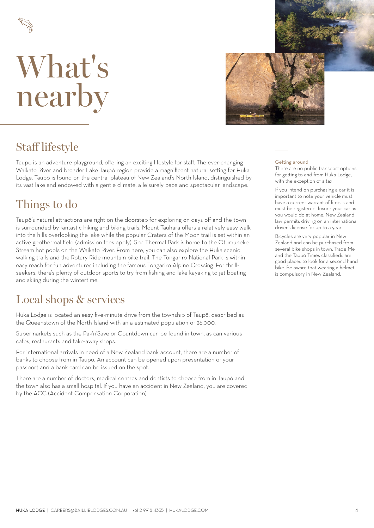



#### Staff lifestyle

Taupō is an adventure playground, offering an exciting lifestyle for staff. The ever-changing Waikato River and broader Lake Taupō region provide a magnificent natural setting for Huka Lodge. Taupō is found on the central plateau of New Zealand's North Island, distinguished by its vast lake and endowed with a gentle climate, a leisurely pace and spectacular landscape.

#### Things to do

Taupō's natural attractions are right on the doorstep for exploring on days off and the town is surrounded by fantastic hiking and biking trails. Mount Tauhara offers a relatively easy walk into the hills overlooking the lake while the popular Craters of the Moon trail is set within an active geothermal field (admission fees apply). Spa Thermal Park is home to the Otumuheke Stream hot pools on the Waikato River. From here, you can also explore the Huka scenic walking trails and the Rotary Ride mountain bike trail. The Tongariro National Park is within easy reach for fun adventures including the famous Tongariro Alpine Crossing. For thrillseekers, there's plenty of outdoor sports to try from fishing and lake kayaking to jet boating and skiing during the wintertime.

#### Local shops & services

Huka Lodge is located an easy five-minute drive from the township of Taupō, described as the Queenstown of the North Island with an a estimated population of 26,000.

Supermarkets such as the Pak'n'Save or Countdown can be found in town, as can various cafes, restaurants and take-away shops.

For international arrivals in need of a New Zealand bank account, there are a number of banks to choose from in Taupō. An account can be opened upon presentation of your passport and a bank card can be issued on the spot.

There are a number of doctors, medical centres and dentists to choose from in Taupō and the town also has a small hospital. If you have an accident in New Zealand, you are covered by the ACC (Accident Compensation Corporation).

#### Getting around

There are no public transport options for getting to and from Huka Lodge, with the exception of a taxi.

If you intend on purchasing a car it is important to note your vehicle must have a current warrant of fitness and must be registered. Insure your car as you would do at home. New Zealand law permits driving on an international driver's license for up to a year.

Bicycles are very popular in New Zealand and can be purchased from several bike shops in town. Trade Me and the Taupō Times classifieds are good places to look for a second hand bike. Be aware that wearing a helmet is compulsory in New Zealand.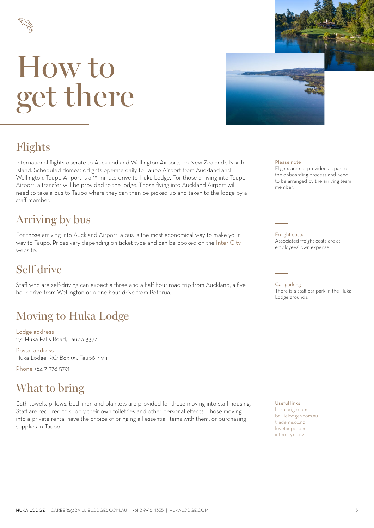<span id="page-4-0"></span>

# How to get there



## Flights

International flights operate to Auckland and Wellington Airports on New Zealand's North Island. Scheduled domestic flights operate daily to Taupō Airport from Auckland and Wellington. Taupō Airport is a 15-minute drive to Huka Lodge. For those arriving into Taupō Airport, a transfer will be provided to the lodge. Those flying into Auckland Airport will need to take a bus to Taupō where they can then be picked up and taken to the lodge by a staff member.

#### Arriving by bus

For those arriving into Auckland Airport, a bus is the most economical way to make your way to Taupō. Prices vary depending on ticket type and can be booked on the [Inter City](https://www.intercity.co.nz/) website.

#### Self drive

Staff who are self-driving can expect a three and a half hour road trip from Auckland, a five hour drive from Wellington or a one hour drive from Rotorua.

## Moving to Huka Lodge

Lodge address 271 Huka Falls Road, Taupō 3377

Postal address Huka Lodge, P.O Box 95, Taupō 3351

Phone +64 7 378 5791

### What to bring

Bath towels, pillows, bed linen and blankets are provided for those moving into staff housing. Staff are required to supply their own toiletries and other personal effects. Those moving into a private rental have the choice of bringing all essential items with them, or purchasing supplies in Taupō.

#### Please note

Flights are not provided as part of the onboarding process and need to be arranged by the arriving team member.

Freight costs Associated freight costs are at employees' own expense.

Car parking There is a staff car park in the Huka Lodge grounds.

Useful links [hukalodge.com](http://hukalodge.com) [baillielodges.com.au](https://baillielodges.com.au) [trademe.co.nz](http://trademe.co.nz) [lovetaupo.com](http://lovetaupo.com) [intercity.co.nz](http://intercity.co.nz)